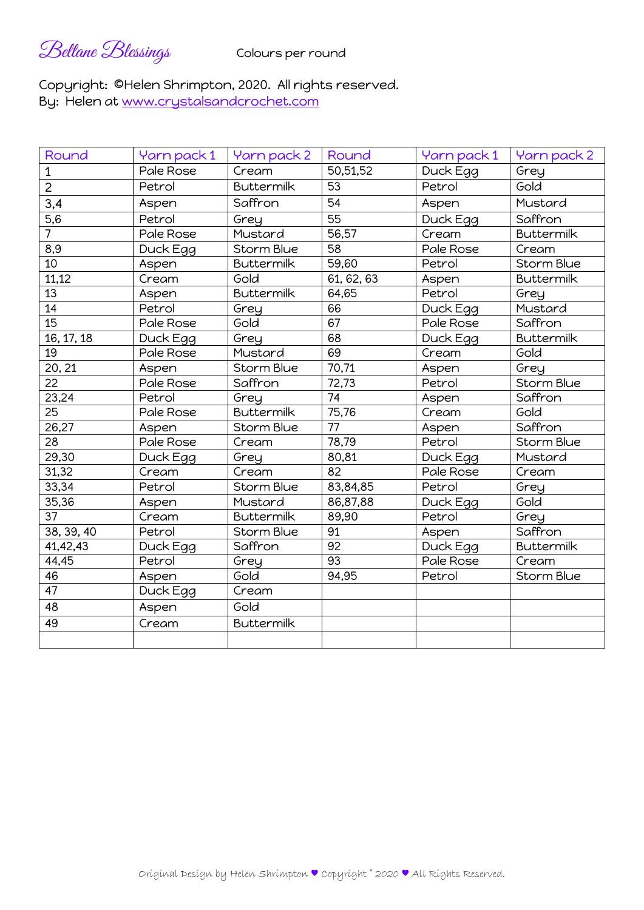Beltane Blessings Colours per round

## Copyright: ©Helen Shrimpton, 2020. All rights reserved. By: Helen at www.crystalsandcrochet.com

| Round            | Yarn pack 1 | Yarn pack 2       | Round           | Yarn pack 1 | Yarn pack 2       |
|------------------|-------------|-------------------|-----------------|-------------|-------------------|
| $\mathbf 1$      | Pale Rose   | Cream             | 50,51,52        | Duck Egg    | Grey              |
| $\overline{2}$   | Petrol      | <b>Buttermilk</b> | 53              | Petrol      | Gold              |
| 3,4              | Aspen       | Saffron           | 54              | Aspen       | Mustard           |
| $\overline{5,6}$ | Petrol      | Grey              | $\overline{55}$ | Duck Egg    | Saffron           |
| $\overline{7}$   | Pale Rose   | Mustard           | 56,57           | Cream       | <b>Buttermilk</b> |
| 8,9              | Duck Egg    | Storm Blue        | 58              | Pale Rose   | Cream             |
| 10               | Aspen       | <b>Buttermilk</b> | 59,60           | Petrol      | Storm Blue        |
| 11,12            | Cream       | Gold              | 61, 62, 63      | Aspen       | <b>Buttermilk</b> |
| 13               | Aspen       | <b>Buttermilk</b> | 64,65           | Petrol      | Grey              |
| 14               | Petrol      | Grey              | 66              | Duck Egg    | Mustard           |
| 15               | Pale Rose   | Gold              | 67              | Pale Rose   | Saffron           |
| 16, 17, 18       | Duck Egg    | Grey              | 68              | Duck Egg    | <b>Buttermilk</b> |
| 19               | Pale Rose   | Mustard           | 69              | Cream       | Gold              |
| 20, 21           | Aspen       | Storm Blue        | 70,71           | Aspen       | Grey              |
| 22               | Pale Rose   | Saffron           | 72,73           | Petrol      | Storm Blue        |
| 23,24            | Petrol      | Grey              | 74              | Aspen       | Saffron           |
| $\overline{25}$  | Pale Rose   | <b>Buttermilk</b> | 75,76           | Cream       | Gold              |
| 26,27            | Aspen       | Storm Blue        | 77              | Aspen       | Saffron           |
| 28               | Pale Rose   | Cream             | 78,79           | Petrol      | <b>Storm Blue</b> |
| 29,30            | Duck Egg    | Grey              | 80,81           | Duck Egg    | Mustard           |
| 31,32            | Cream       | Cream             | 82              | Pale Rose   | Cream             |
| 33,34            | Petrol      | Storm Blue        | 83,84,85        | Petrol      | Grey              |
| 35,36            | Aspen       | Mustard           | 86,87,88        | Duck Egg    | Gold              |
| 37               | Cream       | <b>Buttermilk</b> | 89,90           | Petrol      | Grey              |
| 38, 39, 40       | Petrol      | Storm Blue        | 91              | Aspen       | Saffron           |
| 41,42,43         | Duck Egg    | Saffron           | 92              | Duck Egg    | <b>Buttermilk</b> |
| 44,45            | Petrol      | Grey              | 93              | Pale Rose   | Cream             |
| 46               | Aspen       | Gold              | 94,95           | Petrol      | <b>Storm Blue</b> |
| 47               | Duck Egg    | Cream             |                 |             |                   |
| 48               | Aspen       | Gold              |                 |             |                   |
| 49               | Cream       | <b>Buttermilk</b> |                 |             |                   |
|                  |             |                   |                 |             |                   |